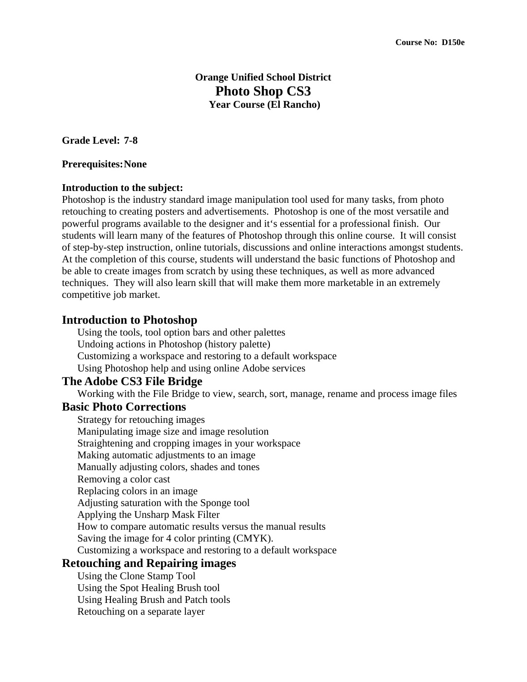## **Orange Unified School District Photo Shop CS3 Year Course (El Rancho)**

**Grade Level: 7-8** 

#### **Prerequisites: None**

#### **Introduction to the subject:**

Photoshop is the industry standard image manipulation tool used for many tasks, from photo retouching to creating posters and advertisements. Photoshop is one of the most versatile and powerful programs available to the designer and it's essential for a professional finish. Our students will learn many of the features of Photoshop through this online course. It will consist of step-by-step instruction, online tutorials, discussions and online interactions amongst students. At the completion of this course, students will understand the basic functions of Photoshop and be able to create images from scratch by using these techniques, as well as more advanced techniques. They will also learn skill that will make them more marketable in an extremely competitive job market.

### **Introduction to Photoshop**

Using the tools, tool option bars and other palettes Undoing actions in Photoshop (history palette) Customizing a workspace and restoring to a default workspace Using Photoshop help and using online Adobe services

#### **The Adobe CS3 File Bridge**

Working with the File Bridge to view, search, sort, manage, rename and process image files

### **Basic Photo Corrections**

Strategy for retouching images Manipulating image size and image resolution Straightening and cropping images in your workspace Making automatic adjustments to an image Manually adjusting colors, shades and tones Removing a color cast Replacing colors in an image Adjusting saturation with the Sponge tool Applying the Unsharp Mask Filter How to compare automatic results versus the manual results Saving the image for 4 color printing (CMYK). Customizing a workspace and restoring to a default workspace

## **Retouching and Repairing images**

Using the Clone Stamp Tool Using the Spot Healing Brush tool Using Healing Brush and Patch tools Retouching on a separate layer